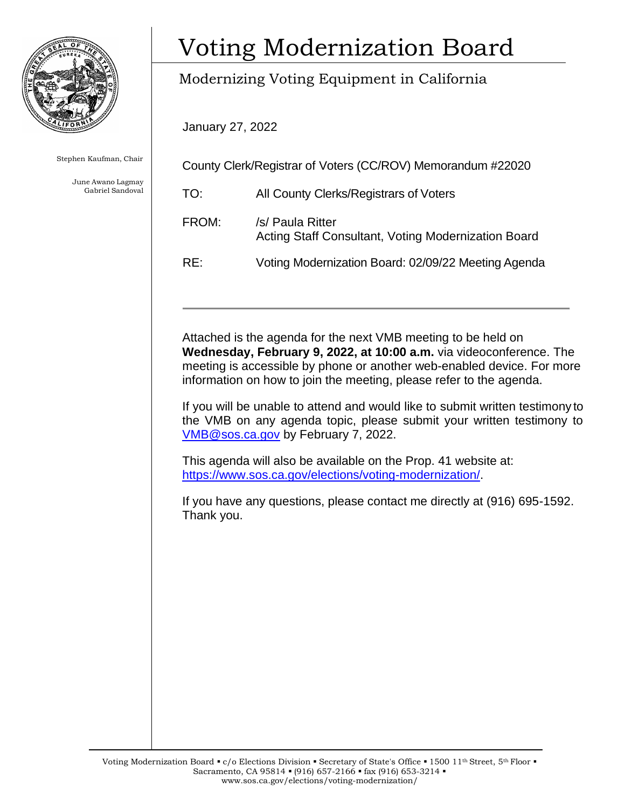

Stephen Kaufman, Chair

June Awano Lagmay Gabriel Sandoval

# Voting Modernization Board

## Modernizing Voting Equipment in California

January 27, 2022

County Clerk/Registrar of Voters (CC/ROV) Memorandum #22020

TO: All County Clerks/Registrars of Voters FROM: /s/ Paula Ritter Acting Staff Consultant, Voting Modernization Board RE: Voting Modernization Board: 02/09/22 Meeting Agenda

Attached is the agenda for the next VMB meeting to be held on **Wednesday, February 9, 2022, at 10:00 a.m.** via videoconference. The meeting is accessible by phone or another web-enabled device. For more information on how to join the meeting, please refer to the agenda.

 If you will be unable to attend and would like to submit written testimony to the VMB on any agenda topic, please submit your written testimony to [VMB@sos.ca.gov](mailto:VMB@sos.ca.gov) by February 7, 2022.

This agenda will also be available on the Prop. 41 website at: [https://www.sos.ca.gov/elections/voting-modernization/.](https://www.sos.ca.gov/elections/voting-modernization/)

If you have any questions, please contact me directly at (916) 695-1592. Thank you.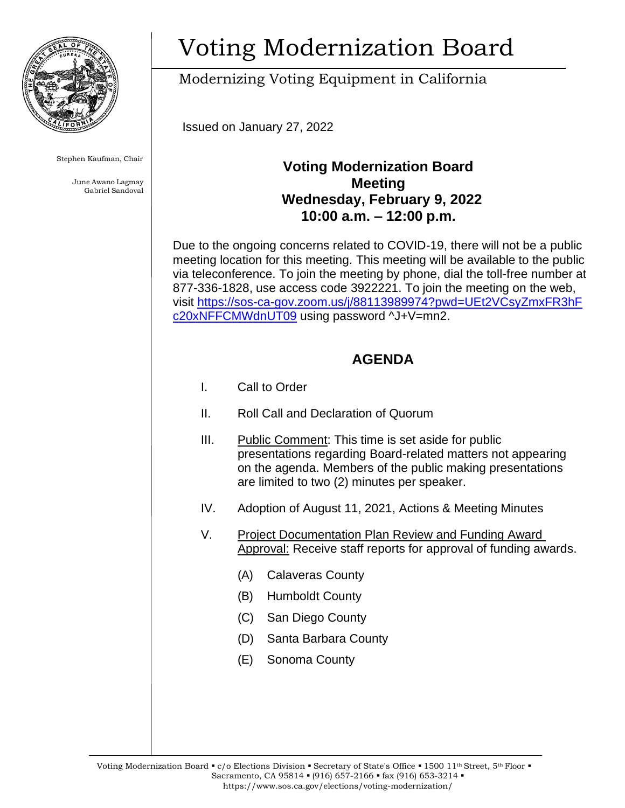

Stephen Kaufman, Chair

June Awano Lagmay Gabriel Sandoval

# Voting Modernization Board

Modernizing Voting Equipment in California

Issued on January 27, 2022

### **Voting Modernization Board Meeting Wednesday, February 9, 2022 10:00 a.m. – 12:00 p.m.**

 Due to the ongoing concerns related to COVID-19, there will not be a public [c20xNFFCMWdnUT09](https://sos-ca-gov.zoom.us/j/88113989974?pwd=UEt2VCsyZmxFR3hF‌c20xNFFCMWdnUT09) using password ^J+V=mn2. meeting location for this meeting. This meeting will be available to the public via teleconference. To join the meeting by phone, dial the toll-free number at 877-336-1828, use access code 3922221. To join the meeting on the web, visit [https://sos-ca-gov.zoom.us/j/88113989974?pwd=UEt2VCsyZmxFR3hF](https://sos-ca-gov.zoom.us/j/88113989974?pwd=UEt2VCsyZmxFR3hF‌c20xNFFCMWdnUT09) 

### **AGENDA**

- I. Call to Order
- II. Roll Call and Declaration of Quorum
- III. Public Comment: This time is set aside for public presentations regarding Board-related matters not appearing on the agenda. Members of the public making presentations are limited to two (2) minutes per speaker.
- IV. Adoption of August 11, 2021, Actions & Meeting Minutes
- V. Project Documentation Plan Review and Funding Award Approval: Receive staff reports for approval of funding awards.
	- (A) Calaveras County
	- (B) Humboldt County
	- (C) San Diego County
	- (D) Santa Barbara County
	- (E) Sonoma County